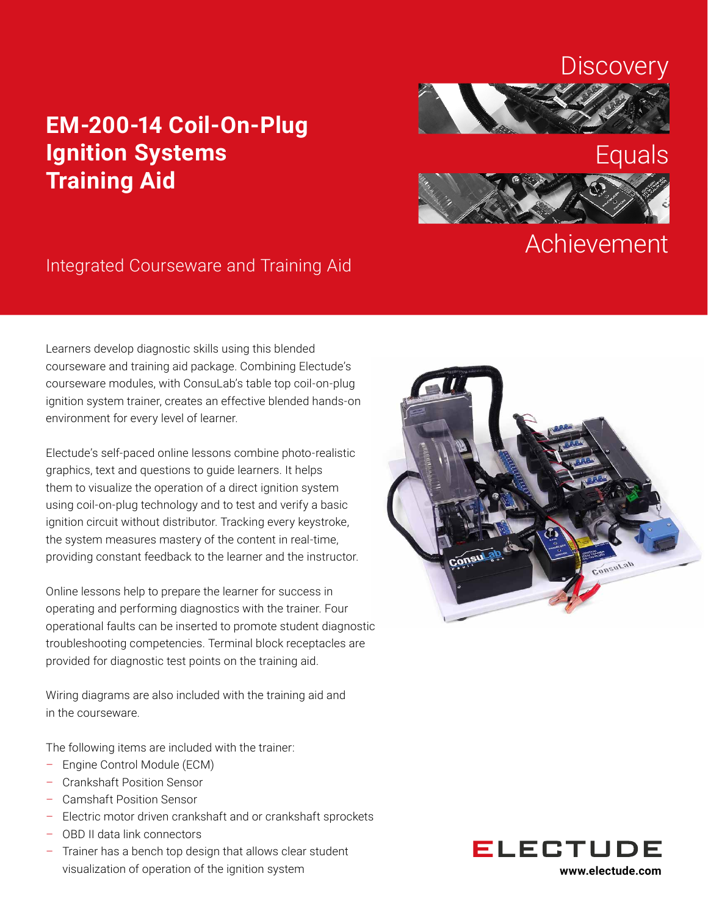## **Discovery**

# **EM-200-14 Coil-On-Plug Ignition Systems Training Aid**





# **Achievement**

## Integrated Courseware and Training Aid

Learners develop diagnostic skills using this blended courseware and training aid package. Combining Electude's courseware modules, with ConsuLab's table top coil-on-plug ignition system trainer, creates an effective blended hands-on environment for every level of learner.

Electude's self-paced online lessons combine photo-realistic graphics, text and questions to guide learners. It helps them to visualize the operation of a direct ignition system using coil-on-plug technology and to test and verify a basic ignition circuit without distributor. Tracking every keystroke, the system measures mastery of the content in real-time, providing constant feedback to the learner and the instructor.

Online lessons help to prepare the learner for success in operating and performing diagnostics with the trainer. Four operational faults can be inserted to promote student diagnostic troubleshooting competencies. Terminal block receptacles are provided for diagnostic test points on the training aid.

Wiring diagrams are also included with the training aid and in the courseware.

The following items are included with the trainer:

- Engine Control Module (ECM)
- Crankshaft Position Sensor
- Camshaft Position Sensor
- Electric motor driven crankshaft and or crankshaft sprockets
- OBD II data link connectors
- Trainer has a bench top design that allows clear student visualization of operation of the ignition system **www.electude.com**